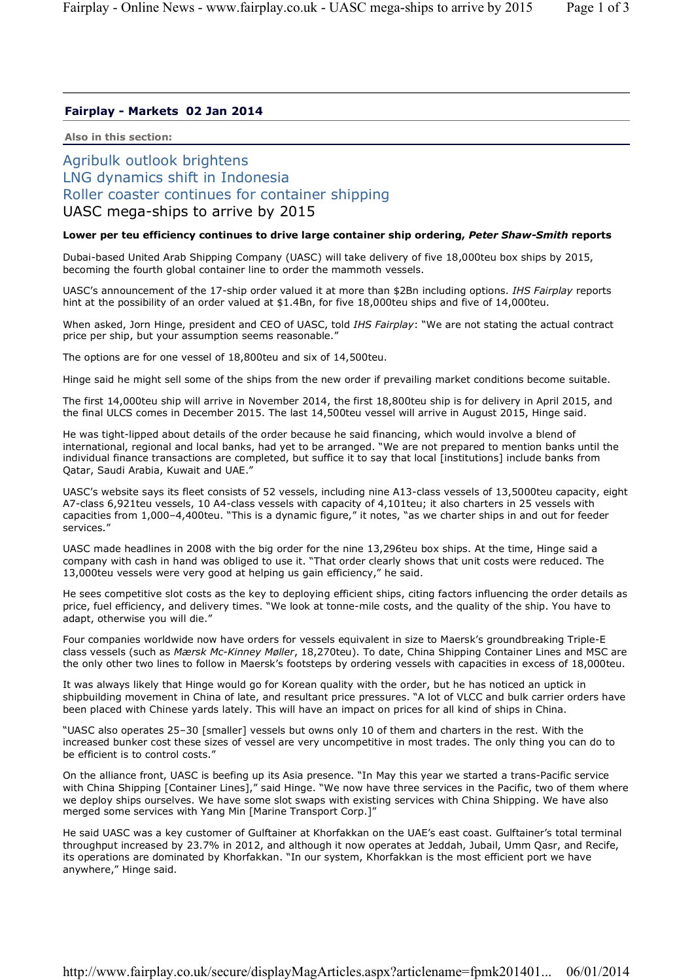## **Fairplay - Markets 02 Jan 2014**

**Also in this section:**

## Agribulk outlook brightens LNG dynamics shift in Indonesia Roller coaster continues for container shipping UASC mega-ships to arrive by 2015

## **Lower per teu efficiency continues to drive large container ship ordering,** *Peter Shaw-Smith* **reports**

Dubai-based United Arab Shipping Company (UASC) will take delivery of five 18,000teu box ships by 2015, becoming the fourth global container line to order the mammoth vessels.

UASC's announcement of the 17-ship order valued it at more than \$2Bn including options. *IHS Fairplay* reports hint at the possibility of an order valued at \$1.4Bn, for five 18,000teu ships and five of 14,000teu.

When asked, Jorn Hinge, president and CEO of UASC, told *IHS Fairplay*: "We are not stating the actual contract price per ship, but your assumption seems reasonable."

The options are for one vessel of 18,800teu and six of 14,500teu.

Hinge said he might sell some of the ships from the new order if prevailing market conditions become suitable.

The first 14,000teu ship will arrive in November 2014, the first 18,800teu ship is for delivery in April 2015, and the final ULCS comes in December 2015. The last 14,500teu vessel will arrive in August 2015, Hinge said.

He was tight-lipped about details of the order because he said financing, which would involve a blend of international, regional and local banks, had yet to be arranged. "We are not prepared to mention banks until the individual finance transactions are completed, but suffice it to say that local [institutions] include banks from Qatar, Saudi Arabia, Kuwait and UAE."

UASC's website says its fleet consists of 52 vessels, including nine A13-class vessels of 13,5000teu capacity, eight A7-class 6,921teu vessels, 10 A4-class vessels with capacity of 4,101teu; it also charters in 25 vessels with capacities from 1,000-4,400teu. "This is a dynamic figure," it notes, "as we charter ships in and out for feeder services."

UASC made headlines in 2008 with the big order for the nine 13,296teu box ships. At the time, Hinge said a company with cash in hand was obliged to use it. "That order clearly shows that unit costs were reduced. The 13,000teu vessels were very good at helping us gain efficiency," he said.

He sees competitive slot costs as the key to deploying efficient ships, citing factors influencing the order details as price, fuel efficiency, and delivery times. "We look at tonne-mile costs, and the quality of the ship. You have to adapt, otherwise you will die."

Four companies worldwide now have orders for vessels equivalent in size to Maersk's groundbreaking Triple-E class vessels (such as *Mærsk Mc-Kinney Møller*, 18,270teu). To date, China Shipping Container Lines and MSC are the only other two lines to follow in Maersk's footsteps by ordering vessels with capacities in excess of 18,000teu.

It was always likely that Hinge would go for Korean quality with the order, but he has noticed an uptick in shipbuilding movement in China of late, and resultant price pressures. "A lot of VLCC and bulk carrier orders have been placed with Chinese yards lately. This will have an impact on prices for all kind of ships in China.

"UASC also operates 25–30 [smaller] vessels but owns only 10 of them and charters in the rest. With the increased bunker cost these sizes of vessel are very uncompetitive in most trades. The only thing you can do to be efficient is to control costs."

On the alliance front, UASC is beefing up its Asia presence. "In May this year we started a trans-Pacific service with China Shipping [Container Lines]," said Hinge. "We now have three services in the Pacific, two of them where we deploy ships ourselves. We have some slot swaps with existing services with China Shipping. We have also merged some services with Yang Min [Marine Transport Corp.]"

He said UASC was a key customer of Gulftainer at Khorfakkan on the UAE's east coast. Gulftainer's total terminal throughput increased by 23.7% in 2012, and although it now operates at Jeddah, Jubail, Umm Qasr, and Recife, its operations are dominated by Khorfakkan. "In our system, Khorfakkan is the most efficient port we have anywhere," Hinge said.